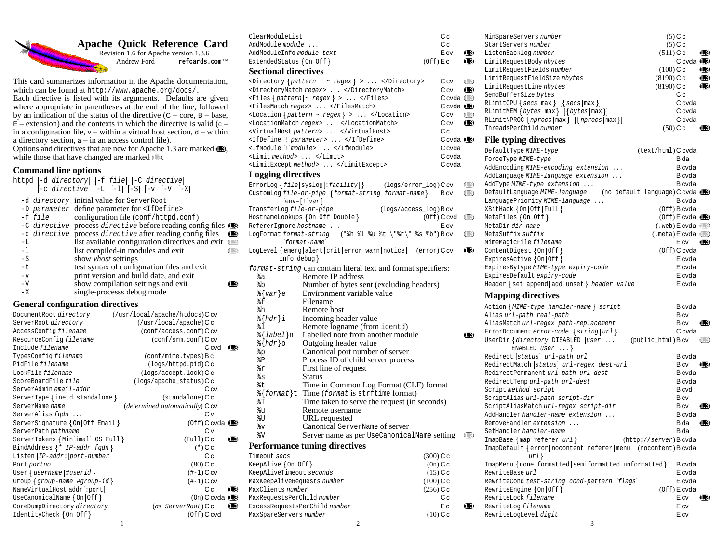# **Apache Quick Reference Card**<br>Revision 1.6 for Apache version 1.3.6<br>Andrew Ford refeards.com<sup>TM</sup>



Revision 1.6 for Apache version 1.3.6 Andrew Ford **refcards.com**™

This card summarizes information in the Apache documentation, which can be found at http://www.apache.org/docs/. Each directive is listed with its arguments. Defaults are given where appropriate in parentheses at the end of the line, followed by an indication of the status of the directive  $(C - core, B - base,$  $E$  – extension) and the contexts in which the directive is valid (c – in a configuration file,  $v -$  within a virtual host section,  $d -$  within a directory section, a – in an access control file). Options and directives that are new for Apache 1.3 are marked **1.3**, while those that have changed are marked  $\Box$ .

## **Command line options**

httpd -d directory -f file -C directive  $\begin{bmatrix} -c & \text{divective} \end{bmatrix}$   $\begin{bmatrix} -L \\ -l \end{bmatrix}$   $\begin{bmatrix} -1 \\ -S \end{bmatrix}$   $\begin{bmatrix} -v \\ -l \end{bmatrix}$   $\begin{bmatrix} -V \\ -l \end{bmatrix}$ -d directory initial value for ServerRoot -D parameter define parameter for <IfDefine><br>-f file configuration file (conf/httpd.c configuration file (conf/httpd.conf) -C directive process directive before reading config files **1.3** -c directive process directive after reading config files **1.3**<br>-L list available configuration directives and exit **1.3** -L list available configuration directives and exit **1.3**<br>-1 list compiled-in modules and exit list compiled-in modules and exit -S show *vhost* settings<br>-t test syntax of config test syntax of configuration files and exit -v print version and build date, and exit<br>-V show compilation settings and exit -V show compilation settings and exit **1.3**<br>-X single-processs debug mode single-processs debug mode **General configuration directives** DocumentRoot directory (/usr/local/apache/htdocs)C cv ServerRoot directory  $(\sqrt{u}sr/\text{local}/\text{apache})\text{Cc}$ <br>AccessConfig filename  $(\text{conf}/\text{access.comf})\text{Cc}$  $(\text{conf}/\text{access.comf})C$  cv<br>(conf/srm.conf)C cv ResourceConfig filename Include filename **C** cvd **1.3** TypesConfig filename (conf/mime.types)Bc PidFile filename (logs/httpd.pid)Cc<br>
LockFile filename (logs/accept.lock)Cc  $(\text{logs}/\text{accept}. \text{lock})Cc$ ScoreBoardFile file (logs/apache\_status)Cc ServerAdmin email-addr<br>
ServerType {inetd|standalone } (standalone)C c  $ServerType \{inetd | standardone\}$  (standalone) $C$  c ServerName name (*determined automatically*) C cv ServerAlias fqdn ... C v ServerSignature - On Off Email (Off) C cvda **1.3** ServerPath pathname C v ServerTokens {Min[imal]|OS|Full} (Full) C c BindAddress  $\{\star | IP\text{-}addr | fqdn\}$  (\*)C c Listen  $IP-addr:|port-number$  C c Port portno (80) C c User  $\{$  username  $|$  #userid  $\}$   $($   $\#$   $\hbox{-} 1)$   $\hbox{C cv}$ Group  $\{group$  -name  $|\#group$ -id  $\}$  (#-1) C cv NameVirtualHost addr **:** port **C** c **1.3**  $Use {\tt CanonicalName}$  { On | Of f }  $(On)$  C cvda  $\oplus$ CoreDumpDirectory directory (*as* ServerRoot)C c **1.3** IdentityCheck  $\{On | Off\}$  $(Off)$  C cvd

| ClearModuleList                            |                                                                                                                                                                                                                       |             | Сc                                                         |             |
|--------------------------------------------|-----------------------------------------------------------------------------------------------------------------------------------------------------------------------------------------------------------------------|-------------|------------------------------------------------------------|-------------|
| AddModule module                           |                                                                                                                                                                                                                       |             | Сc                                                         |             |
| AddModuleInfo module text                  |                                                                                                                                                                                                                       |             | E cv                                                       | Œ           |
| ExtendedStatus $\{On   Off\}$              |                                                                                                                                                                                                                       | $(Off)$ E c |                                                            | Œ           |
| <b>Sectional directives</b>                |                                                                                                                                                                                                                       |             |                                                            |             |
|                                            | <directory <math="" {pattern=""  ="">\sim regex} &gt;  </directory><br><directorymatch regex=""> </directorymatch><br>$\langle$ Files {pattern ~ regex} ><br><filesmatch regex=""> </filesmatch><br>$\text{  \text{~$ |             | C cv<br>C cv<br>$C$ cvda $\Box$<br>Ccvda <b>(B</b><br>C cv | Œ<br>Œ<br>Œ |
|                                            | <locationmatch regex=""> </locationmatch><br><virtualhost pattern=""> </virtualhost>                                                                                                                                  |             | C cv<br>Сc                                                 | Œ           |
|                                            | <ifdefine [!]parameter=""> </ifdefine>                                                                                                                                                                                |             | $C$ cvda ( $E$                                             |             |
|                                            | <ifmodule [!]="" module=""> </ifmodule>                                                                                                                                                                               |             | C cvda                                                     |             |
| <limit method=""> </limit>                 |                                                                                                                                                                                                                       |             | C cvda                                                     |             |
|                                            | <limitexcept method=""> </limitexcept>                                                                                                                                                                                |             | C cvda                                                     |             |
| <b>Logging directives</b>                  |                                                                                                                                                                                                                       |             |                                                            |             |
|                                            |                                                                                                                                                                                                                       |             |                                                            |             |
|                                            | ErrorLog $\{file syslog[:facility]\}$<br>$(\text{logs}/\text{error\_log})$ Ccv<br>CustomLog file-or-pipe { format-string   format-name }<br>$ env=[ var ]$                                                            |             | B cv                                                       | Œ<br>⊂      |
| TransferLog file-or-pipe                   | $(\text{logs}/\text{access}\_\text{log})$ B cv                                                                                                                                                                        |             |                                                            |             |
| RefererIgnore hostname                     | HostnameLookups { On   Off   Double }                                                                                                                                                                                 |             | $(0ff)$ C cvd<br>E cv                                      | $\mathbb C$ |
| LogFormat format-string                    | ("%h %l %u %t \"%r\" %s %b")Bcv<br>[format-name]                                                                                                                                                                      |             |                                                            | Œ           |
| $info $ debug $\}$                         | LogLevel {emerg alert crit error warn notice  (error)Ccv                                                                                                                                                              |             |                                                            | Œ           |
|                                            | format-string can contain literal text and format specifiers:                                                                                                                                                         |             |                                                            |             |
| %a                                         | Remote IP address                                                                                                                                                                                                     |             |                                                            |             |
| %b                                         | Number of bytes sent (excluding headers)                                                                                                                                                                              |             |                                                            |             |
| $\{var\}$ e                                | Environment variable value                                                                                                                                                                                            |             |                                                            |             |
| %f                                         | Filename                                                                                                                                                                                                              |             |                                                            |             |
| %h                                         | Remote host                                                                                                                                                                                                           |             |                                                            |             |
| $\{hdr\}$ i                                | Incoming header value                                                                                                                                                                                                 |             |                                                            |             |
| 81                                         | Remote logname (from identd)                                                                                                                                                                                          |             |                                                            |             |
| %{ <i>label</i> }n                         | Labelled note from another module                                                                                                                                                                                     |             |                                                            | 18          |
| $\{hdr\}$ o                                | Outgoing header value                                                                                                                                                                                                 |             |                                                            |             |
| %p                                         | Canonical port number of server                                                                                                                                                                                       |             |                                                            |             |
| %Ρ                                         | Process ID of child server process                                                                                                                                                                                    |             |                                                            |             |
| %r                                         | First line of request                                                                                                                                                                                                 |             |                                                            |             |
| န္မွ                                       | Status                                                                                                                                                                                                                |             |                                                            |             |
| %t                                         | Time in Common Log Format (CLF) format                                                                                                                                                                                |             |                                                            |             |
| %{format}t                                 | Time (format is strftime format)                                                                                                                                                                                      |             |                                                            |             |
| %Τ                                         | Time taken to serve the request (in seconds)                                                                                                                                                                          |             |                                                            |             |
| %u                                         | Remote username                                                                                                                                                                                                       |             |                                                            |             |
| %U                                         | URL requested                                                                                                                                                                                                         |             |                                                            |             |
| %v                                         | Canonical ServerName of server                                                                                                                                                                                        |             |                                                            |             |
| %8                                         | Server name as per UseCanonicalName setting                                                                                                                                                                           |             |                                                            | ⊂           |
|                                            | <b>Performance tuning directives</b>                                                                                                                                                                                  |             |                                                            |             |
| Timeout secs                               |                                                                                                                                                                                                                       | $(300)$ C c |                                                            |             |
| KeepAlive { On   Off }                     |                                                                                                                                                                                                                       | $(On)$ C c  |                                                            |             |
| KeepAliveTimeout seconds                   |                                                                                                                                                                                                                       | $(15)$ Cc   |                                                            |             |
| MaxKeepAliveRequests number<br>$(100)$ C c |                                                                                                                                                                                                                       |             |                                                            |             |
| MaxClients number                          |                                                                                                                                                                                                                       | $(256)$ C c |                                                            |             |
| MaxRequestsPerChild number                 |                                                                                                                                                                                                                       |             | Сc                                                         |             |
| ExcessRequestsPerChild number              |                                                                                                                                                                                                                       |             | Ec                                                         | 13          |
| MaxSpareServers number                     |                                                                                                                                                                                                                       | $(10)$ C c  |                                                            |             |

|               | MinSpareServers number                                                     |              | $(5)$ C c                                 |                  |
|---------------|----------------------------------------------------------------------------|--------------|-------------------------------------------|------------------|
|               | StartServers number                                                        |              | $(5)$ C c                                 |                  |
|               | ListenBacklog number                                                       | $(511)$ Cc   |                                           | $\mathbf \Phi$   |
| €             | LimitRequestBody nbytes                                                    |              | $C$ cvda $\oplus$                         |                  |
|               | LimitRequestFields number                                                  | $(100)$ C c  |                                           | $\blacksquare$   |
|               | LimitRequestFieldSize nbytes                                               | $(8190)$ C c |                                           | $\bullet$        |
|               | LimitRequestLine nbytes                                                    | $(8190)$ Cc  |                                           | ®                |
|               | SendBufferSize bytes                                                       |              | Сc                                        |                  |
| )             | RLimitCPU {secs max} [{secs max}]                                          |              | Ccvda                                     |                  |
| ۱             | RLimitMEM $\{$ bytes $\{\max\}$ $[\{$ bytes $\{\max\}]$                    |              | Ccvda                                     |                  |
|               | RLimitNPROC ${nprocs   max}$ ${   nprocs   max}$                           |              | C cvda                                    |                  |
|               | ThreadsPerChild number                                                     | $(50)$ C c   |                                           | 13               |
| €             | <b>File typing directives</b>                                              |              |                                           |                  |
|               | DefaultType MIME-type                                                      |              | (text/html) C cvda                        |                  |
|               | ForceType MIME-type                                                        |              | B da                                      |                  |
|               | AddEncoding MIME-encoding extension                                        |              | <b>B</b> cvda                             |                  |
|               |                                                                            |              | B cvda                                    |                  |
|               | AddLanguage MIME-language extension                                        |              |                                           |                  |
|               | AddType MIME-type extension                                                |              | B cvda                                    |                  |
|               | DefaultLanguage MIME-language (no default language) C cvda (               |              |                                           |                  |
|               | LanguagePriority MIME-language                                             |              | B cvda                                    |                  |
|               | XBitHack { On   Off   Full }                                               |              | $(0ff)$ B cvda                            |                  |
| $\mathcal{E}$ | MetaFiles $\{On   Off\}$                                                   |              | $(0ff)$ E cvda $($                        |                  |
|               | MetaDir dir-name                                                           |              | $(xweb)$ E cvda $\Box$                    |                  |
| ∖             | MetaSuffix suffix                                                          |              | $(\text{.meta})$ E cvda $\textcircled{F}$ |                  |
|               | MimeMagicFile filename                                                     |              | E cv                                      | $\mathbf \oplus$ |
| 9             | ContentDigest { On Off }                                                   |              | $(0ff)$ C cvda                            |                  |
|               | Expires Active $\{On   Off\}$                                              |              | E cvda                                    |                  |
|               | ExpiresBytype MIME-type expiry-code                                        |              | E cvda                                    |                  |
|               | ExpiresDefault expiry-code                                                 |              | E cvda                                    |                  |
|               | Header { set   append   add   unset } header value                         |              | E cvda                                    |                  |
|               | <b>Mapping directives</b>                                                  |              |                                           |                  |
|               | Action {MIME-type   handler-name } script                                  |              | B cvda                                    |                  |
|               | Alias url-path real-path                                                   |              | <b>B</b> cv                               |                  |
|               | AliasMatch url-regex path-replacement                                      |              | B cv                                      | Œ                |
|               | ErrorDocument error-code {string url}                                      |              | C cvda                                    |                  |
| ۱             | UserDir {directory   DISABLED [user ]   (public_html) B cv                 |              |                                           | $\cup$           |
|               | ENABLED user $\ldots$                                                      |              |                                           |                  |
|               | Redirect status url-path url                                               |              | B cvda                                    |                  |
|               | RedirectMatch [status] url-regex dest-url                                  |              | <b>B</b> cv                               | 13               |
|               | RedirectPermanent url-path url-dest                                        |              | <b>B</b> cvda                             |                  |
|               | RedirectTemp url-path url-dest                                             |              | <b>B</b> cvda                             |                  |
|               | Script method script                                                       |              | <b>B</b> cvd                              |                  |
|               | ScriptAlias url-path script-dir                                            |              | <b>B</b> cv                               |                  |
|               | ScriptAliasMatch url-regex script-dir                                      |              | <b>B</b> cv                               | 10               |
|               | AddHandler handler-name extension                                          |              | B cvda                                    |                  |
|               |                                                                            |              |                                           |                  |
|               | RemoveHandler extension                                                    |              | B da                                      | 13               |
|               | SetHandler handler-name                                                    |              | B da                                      |                  |
|               | ImapBase { map   referer   url }<br>(http://server)Bcvda                   |              |                                           |                  |
|               | ImapDefault { error   nocontent   referer   menu (nocontent) B cvda<br>url |              |                                           |                  |
|               | ImapMenu { none   formatted   semiformatted   unformatted }                |              | <b>B</b> cvda                             |                  |
|               | RewriteBase url                                                            |              | E cvda                                    |                  |
|               | RewriteCond test-string cond-pattern [flags]                               |              | E cvda                                    |                  |
|               |                                                                            |              |                                           |                  |
|               | $RewriteEngineering {On   Off}$                                            |              | $(0ff)$ E cvda                            |                  |
|               | RewriteLock filename                                                       |              | E cv                                      | ®                |
|               | RewriteLog filename                                                        |              | E cv                                      |                  |
|               | RewriteLogLevel digit                                                      |              | E cv                                      |                  |